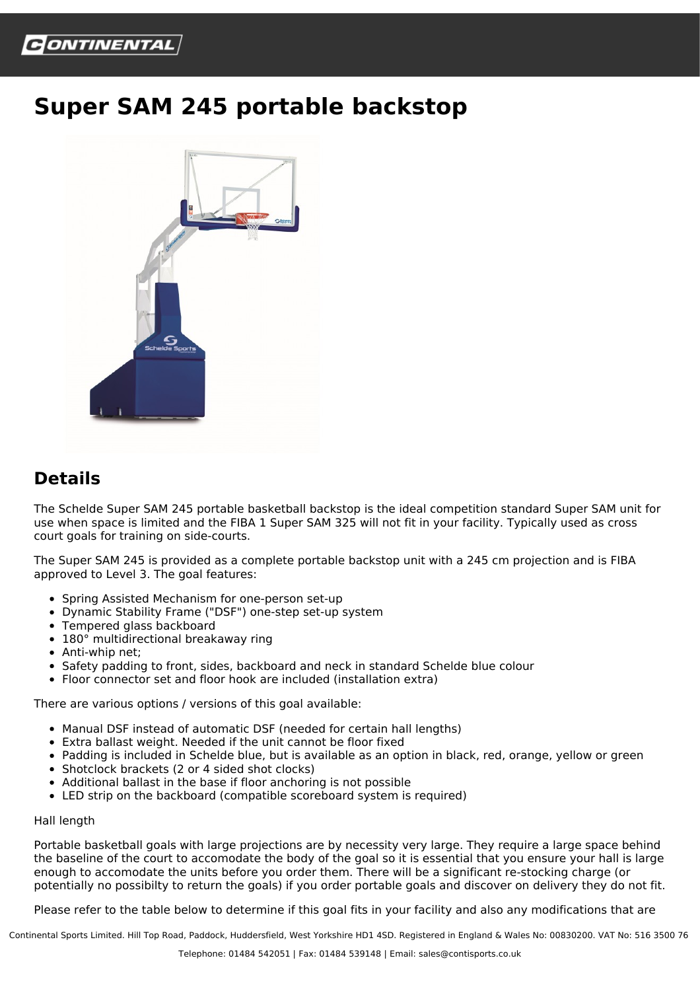

## **Super SAM 245 portable backstop**



## **Details**

The Schelde Super SAM 245 portable basketball backstop is the ideal competition standard Super SAM unit for use when space is limited and the FIBA 1 Super SAM 325 will not fit in your facility. Typically used as cross court goals for training on side-courts.

The Super SAM 245 is provided as a complete portable backstop unit with a 245 cm projection and is FIBA approved to Level 3. The goal features:

- Spring Assisted Mechanism for one-person set-up
- Dynamic Stability Frame ("DSF") one-step set-up system
- Tempered glass backboard
- 180° multidirectional breakaway ring
- Anti-whip net;
- Safety padding to front, sides, backboard and neck in standard Schelde blue colour
- Floor connector set and floor hook are included (installation extra)

There are various options / versions of this goal available:

- Manual DSF instead of automatic DSF (needed for certain hall lengths)
- Extra ballast weight. Needed if the unit cannot be floor fixed
- Padding is included in Schelde blue, but is available as an option in black, red, orange, yellow or green
- Shotclock brackets (2 or 4 sided shot clocks)
- Additional ballast in the base if floor anchoring is not possible
- LED strip on the backboard (compatible scoreboard system is required)

## Hall length

Portable basketball goals with large projections are by necessity very large. They require a large space behind the baseline of the court to accomodate the body of the goal so it is essential that you ensure your hall is large enough to accomodate the units before you order them. There will be a significant re-stocking charge (or potentially no possibilty to return the goals) if you order portable goals and discover on delivery they do not fit.

Please refer to the table below to determine if this goal fits in your facility and also any modifications that are

Continental Sports Limited. Hill Top Road, Paddock, Huddersfield, West Yorkshire HD1 4SD. Registered in England & Wales No: 00830200. VAT No: 516 3500 76